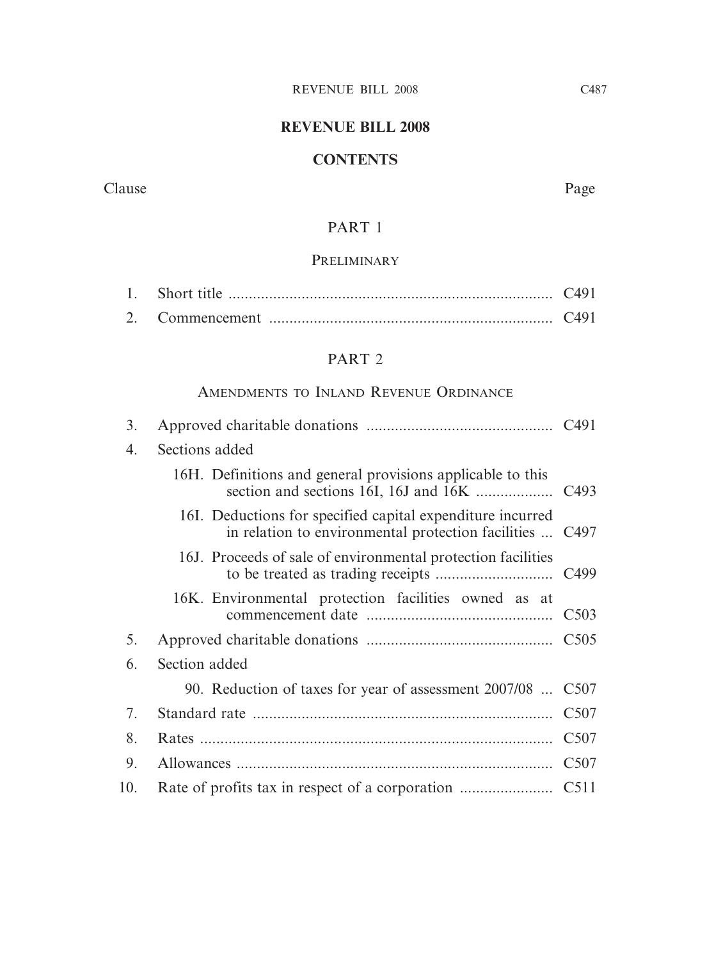# **REVENUE BILL 2008**

## **CONTENTS**

Clause Page

# PART 1

## PRELIMINARY

# PART 2

# AMENDMENTS TO INLAND REVENUE ORDINANCE

| 3.  |                                                                                                                        |  |
|-----|------------------------------------------------------------------------------------------------------------------------|--|
| 4.  | Sections added                                                                                                         |  |
|     | 16H. Definitions and general provisions applicable to this                                                             |  |
|     | 16I. Deductions for specified capital expenditure incurred<br>in relation to environmental protection facilities  C497 |  |
|     | 16J. Proceeds of sale of environmental protection facilities                                                           |  |
|     | 16K. Environmental protection facilities owned as at                                                                   |  |
| 5.  |                                                                                                                        |  |
| 6.  | Section added                                                                                                          |  |
|     | 90. Reduction of taxes for year of assessment 2007/08  C507                                                            |  |
| 7.  |                                                                                                                        |  |
| 8.  |                                                                                                                        |  |
| 9.  |                                                                                                                        |  |
| 10. |                                                                                                                        |  |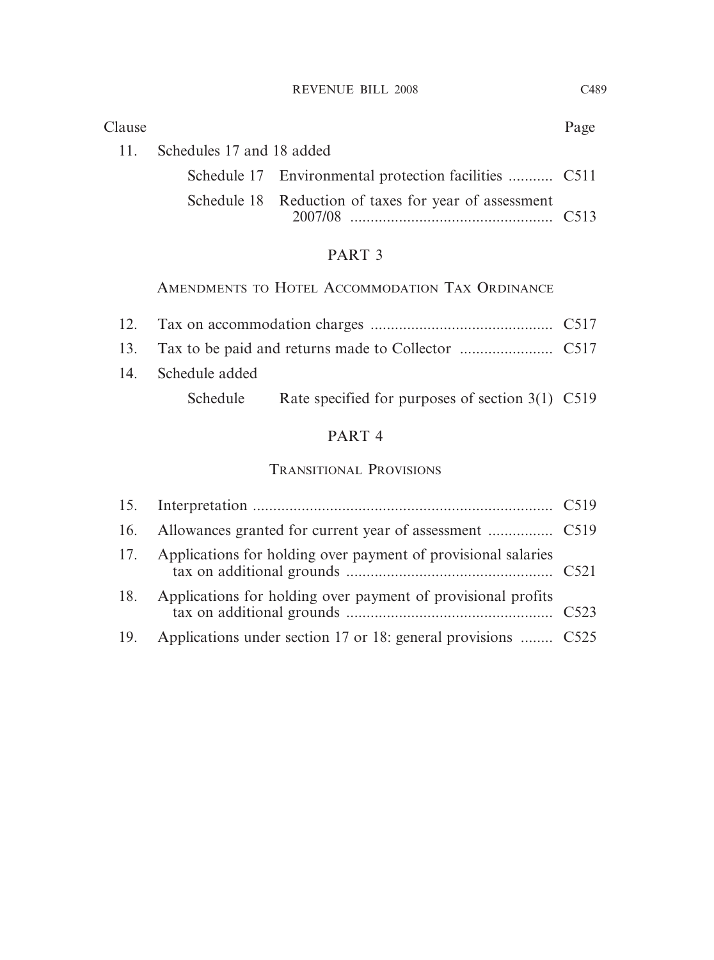| 2007/08 | C513 |
|---------|------|

## PART 3

# AMENDMENTS TO HOTEL ACCOMMODATION TAX ORDINANCE

| 14. Schedule added |                                                           |  |
|--------------------|-----------------------------------------------------------|--|
|                    | Schedule Rate specified for purposes of section 3(1) C519 |  |

# PART 4

## TRANSITIONAL PROVISIONS

| 17. | Applications for holding over payment of provisional salaries |  |
|-----|---------------------------------------------------------------|--|
| 18. | Applications for holding over payment of provisional profits  |  |
| 19. | Applications under section 17 or 18: general provisions  C525 |  |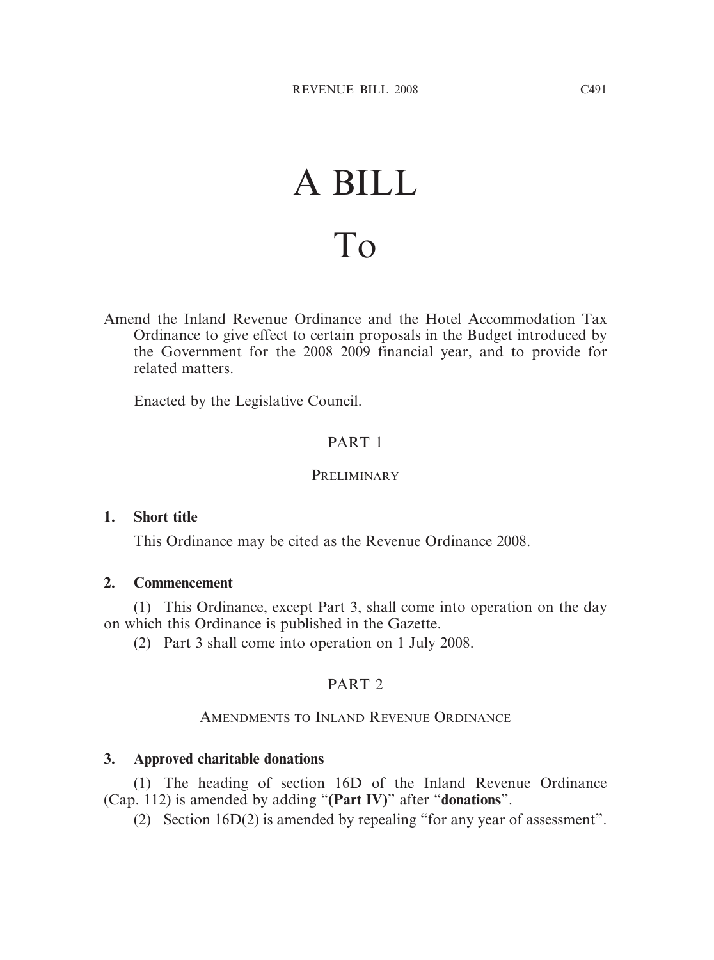# A BILL To

Amend the Inland Revenue Ordinance and the Hotel Accommodation Tax Ordinance to give effect to certain proposals in the Budget introduced by the Government for the 2008–2009 financial year, and to provide for related matters.

Enacted by the Legislative Council.

# PART 1

## **PRELIMINARY**

## **1. Short title**

This Ordinance may be cited as the Revenue Ordinance 2008.

#### **2. Commencement**

(1) This Ordinance, except Part 3, shall come into operation on the day on which this Ordinance is published in the Gazette.

(2) Part 3 shall come into operation on 1 July 2008.

## PART<sub>2</sub>

## AMENDMENTS TO INLAND REVENUE ORDINANCE

## **3. Approved charitable donations**

(1) The heading of section 16D of the Inland Revenue Ordinance (Cap. 112) is amended by adding "**(Part IV)**" after "**donations**".

(2) Section 16D(2) is amended by repealing "for any year of assessment".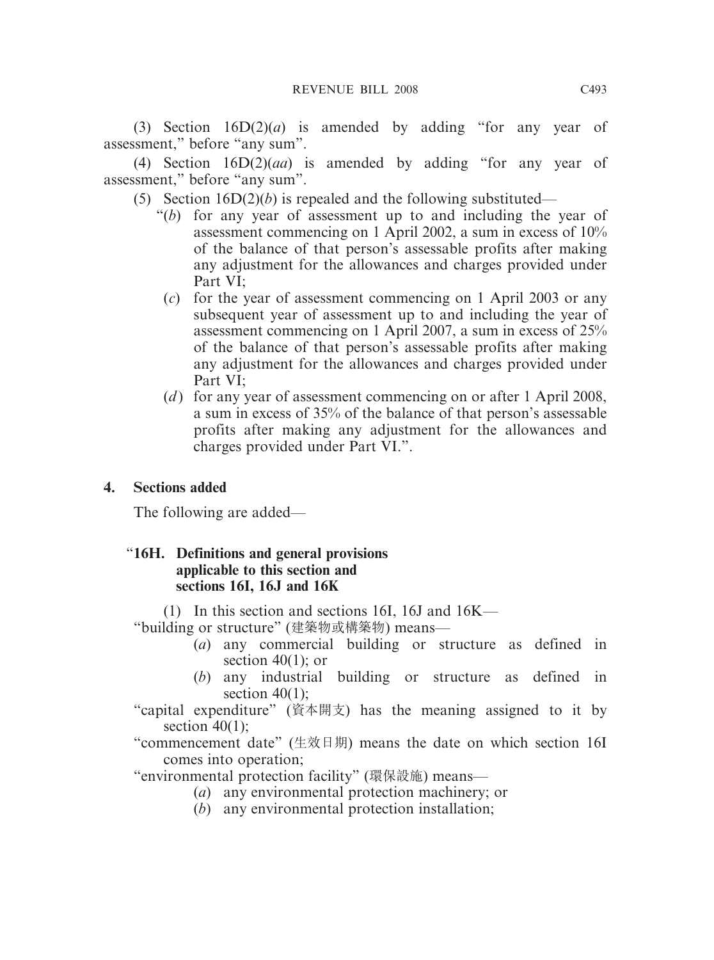(3) Section 16D(2)(*a*) is amended by adding "for any year of assessment," before "any sum".

(4) Section 16D(2)(*aa*) is amended by adding "for any year of assessment," before "any sum".

- (5) Section  $16D(2)(b)$  is repealed and the following substituted—
	- "(*b*) for any year of assessment up to and including the year of assessment commencing on 1 April 2002, a sum in excess of 10% of the balance of that person's assessable profits after making any adjustment for the allowances and charges provided under Part VI;
		- (*c*) for the year of assessment commencing on 1 April 2003 or any subsequent year of assessment up to and including the year of assessment commencing on 1 April 2007, a sum in excess of 25% of the balance of that person's assessable profits after making any adjustment for the allowances and charges provided under Part VI;
		- (*d*) for any year of assessment commencing on or after 1 April 2008, a sum in excess of 35% of the balance of that person's assessable profits after making any adjustment for the allowances and charges provided under Part VI.".

## **4. Sections added**

The following are added—

## "**16H. Definitions and general provisions applicable to this section and sections 16I, 16J and 16K**

(1) In this section and sections 16I, 16J and 16K—

"building or structure" (建築物或構築物) means—

- (*a*) any commercial building or structure as defined in section  $40(1)$ ; or
- (*b*) any industrial building or structure as defined in section  $40(1)$ ;
- "capital expenditure" (資本開支) has the meaning assigned to it by section  $40(1)$ ;
- "commencement date" (生效日期) means the date on which section 16I comes into operation;

"environmental protection facility" (環保設施) means—

- (*a*) any environmental protection machinery; or
- (*b*) any environmental protection installation;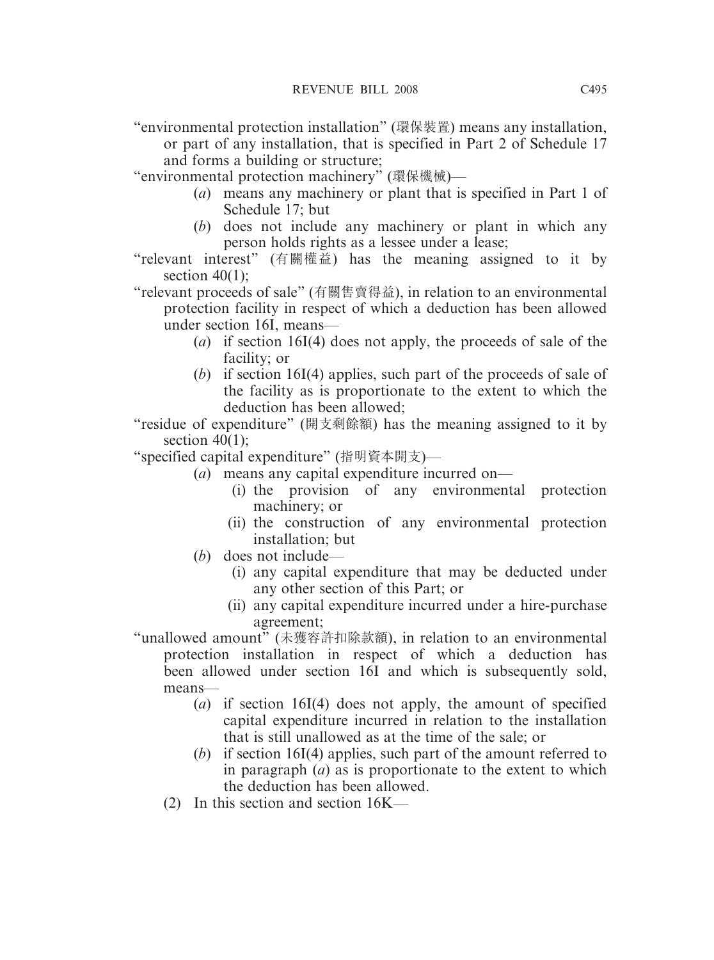"environmental protection installation" (環保裝置) means any installation,

or part of any installation, that is specified in Part 2 of Schedule 17 and forms a building or structure;

"environmental protection machinery" (環保機械)—

- (*a*) means any machinery or plant that is specified in Part 1 of Schedule 17; but
- (*b*) does not include any machinery or plant in which any person holds rights as a lessee under a lease;
- "relevant interest" (有關權益) has the meaning assigned to it by section  $40(1)$ ;

"relevant proceeds of sale" (有關售賣得益), in relation to an environmental protection facility in respect of which a deduction has been allowed under section 16I, means—

- (*a*) if section 16I(4) does not apply, the proceeds of sale of the facility; or
- (*b*) if section 16I(4) applies, such part of the proceeds of sale of the facility as is proportionate to the extent to which the deduction has been allowed;

"residue of expenditure" (開支剩餘額) has the meaning assigned to it by section  $40(1)$ :

"specified capital expenditure" (指明資本開支)—

- (*a*) means any capital expenditure incurred on—
	- (i) the provision of any environmental protection machinery; or
	- (ii) the construction of any environmental protection installation; but
- (*b*) does not include—
	- (i) any capital expenditure that may be deducted under any other section of this Part; or
	- (ii) any capital expenditure incurred under a hire-purchase agreement;

"unallowed amount" (未獲容許扣除款額), in relation to an environmental protection installation in respect of which a deduction has been allowed under section 16I and which is subsequently sold, means—

- (*a*) if section 16I(4) does not apply, the amount of specified capital expenditure incurred in relation to the installation that is still unallowed as at the time of the sale; or
- (*b*) if section 16I(4) applies, such part of the amount referred to in paragraph (*a*) as is proportionate to the extent to which the deduction has been allowed.
- (2) In this section and section 16K—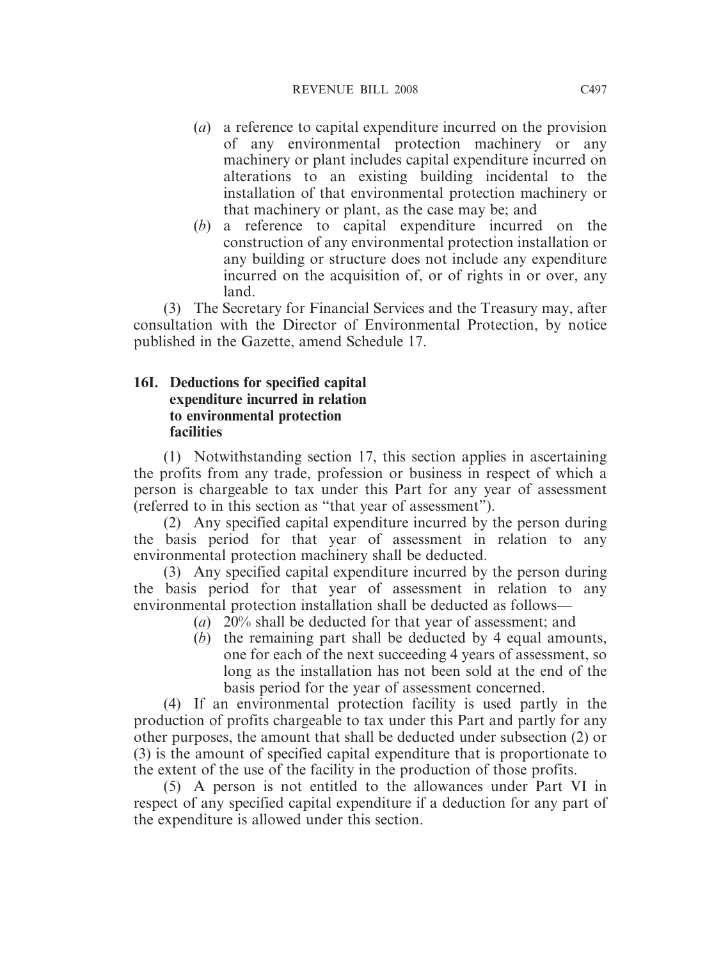- (*a*) a reference to capital expenditure incurred on the provision of any environmental protection machinery or any machinery or plant includes capital expenditure incurred on alterations to an existing building incidental to the installation of that environmental protection machinery or that machinery or plant, as the case may be; and
- (*b*) a reference to capital expenditure incurred on the construction of any environmental protection installation or any building or structure does not include any expenditure incurred on the acquisition of, or of rights in or over, any land.

(3) The Secretary for Financial Services and the Treasury may, after consultation with the Director of Environmental Protection, by notice published in the Gazette, amend Schedule 17.

#### **16I. Deductions for specified capital expenditure incurred in relation to environmental protection facilities**

(1) Notwithstanding section 17, this section applies in ascertaining the profits from any trade, profession or business in respect of which a person is chargeable to tax under this Part for any year of assessment (referred to in this section as "that year of assessment").

(2) Any specified capital expenditure incurred by the person during the basis period for that year of assessment in relation to any environmental protection machinery shall be deducted.

(3) Any specified capital expenditure incurred by the person during the basis period for that year of assessment in relation to any environmental protection installation shall be deducted as follows—

- (*a*) 20% shall be deducted for that year of assessment; and
- (*b*) the remaining part shall be deducted by 4 equal amounts, one for each of the next succeeding 4 years of assessment, so long as the installation has not been sold at the end of the basis period for the year of assessment concerned.

(4) If an environmental protection facility is used partly in the production of profits chargeable to tax under this Part and partly for any other purposes, the amount that shall be deducted under subsection (2) or (3) is the amount of specified capital expenditure that is proportionate to the extent of the use of the facility in the production of those profits.

(5) A person is not entitled to the allowances under Part VI in respect of any specified capital expenditure if a deduction for any part of the expenditure is allowed under this section.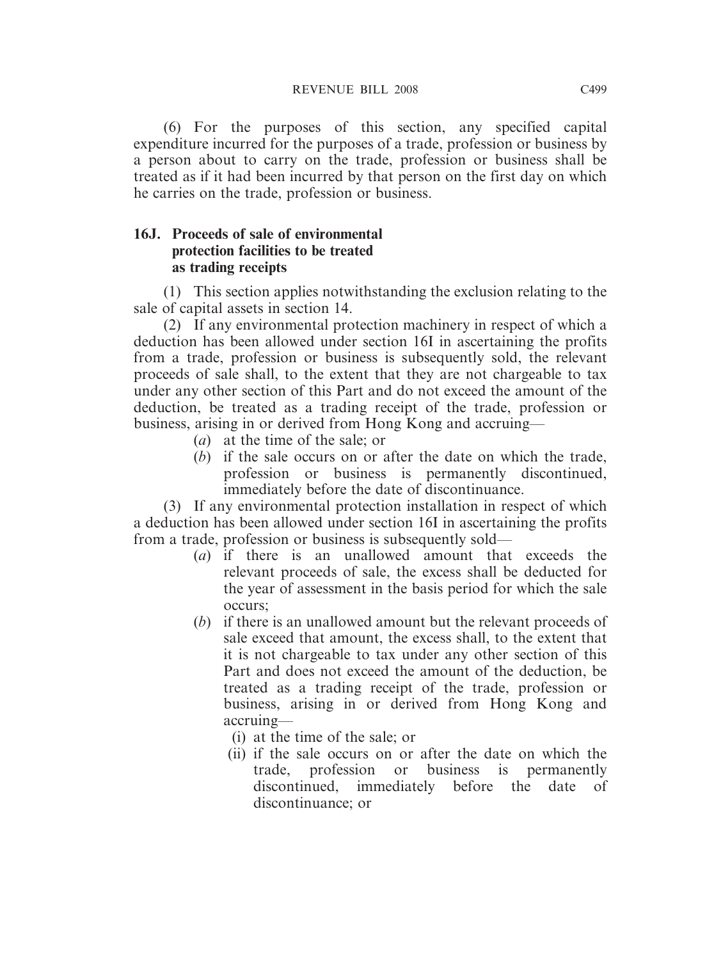(6) For the purposes of this section, any specified capital expenditure incurred for the purposes of a trade, profession or business by a person about to carry on the trade, profession or business shall be treated as if it had been incurred by that person on the first day on which he carries on the trade, profession or business.

#### **16J. Proceeds of sale of environmental protection facilities to be treated as trading receipts**

(1) This section applies notwithstanding the exclusion relating to the sale of capital assets in section 14.

(2) If any environmental protection machinery in respect of which a deduction has been allowed under section 16I in ascertaining the profits from a trade, profession or business is subsequently sold, the relevant proceeds of sale shall, to the extent that they are not chargeable to tax under any other section of this Part and do not exceed the amount of the deduction, be treated as a trading receipt of the trade, profession or business, arising in or derived from Hong Kong and accruing—

- (*a*) at the time of the sale; or
- (*b*) if the sale occurs on or after the date on which the trade, profession or business is permanently discontinued, immediately before the date of discontinuance.

(3) If any environmental protection installation in respect of which a deduction has been allowed under section 16I in ascertaining the profits from a trade, profession or business is subsequently sold—

- (*a*) if there is an unallowed amount that exceeds the relevant proceeds of sale, the excess shall be deducted for the year of assessment in the basis period for which the sale occurs;
- (*b*) if there is an unallowed amount but the relevant proceeds of sale exceed that amount, the excess shall, to the extent that it is not chargeable to tax under any other section of this Part and does not exceed the amount of the deduction, be treated as a trading receipt of the trade, profession or business, arising in or derived from Hong Kong and accruing—
	- (i) at the time of the sale; or
	- (ii) if the sale occurs on or after the date on which the trade, profession or business is permanently discontinued, immediately before the date of discontinuance; or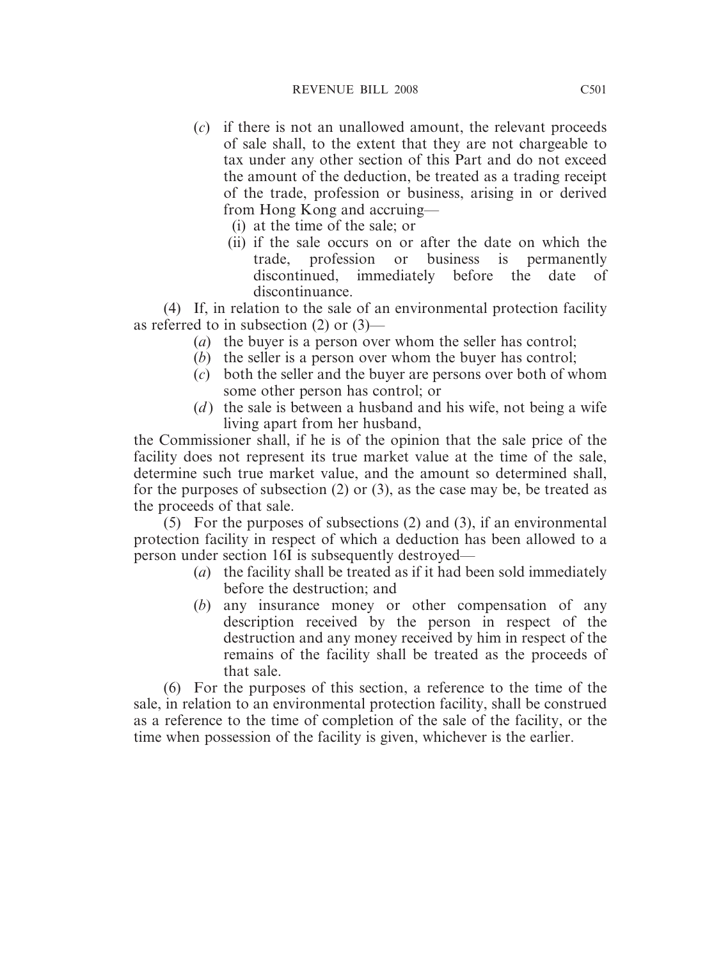- (*c*) if there is not an unallowed amount, the relevant proceeds of sale shall, to the extent that they are not chargeable to tax under any other section of this Part and do not exceed the amount of the deduction, be treated as a trading receipt of the trade, profession or business, arising in or derived from Hong Kong and accruing—
	- (i) at the time of the sale; or
	- (ii) if the sale occurs on or after the date on which the trade, profession or business is permanently discontinued, immediately before the date of discontinuance.

(4) If, in relation to the sale of an environmental protection facility as referred to in subsection (2) or (3)—

- (*a*) the buyer is a person over whom the seller has control;
- (*b*) the seller is a person over whom the buyer has control;
- (*c*) both the seller and the buyer are persons over both of whom some other person has control; or
- (*d*) the sale is between a husband and his wife, not being a wife living apart from her husband,

the Commissioner shall, if he is of the opinion that the sale price of the facility does not represent its true market value at the time of the sale, determine such true market value, and the amount so determined shall, for the purposes of subsection (2) or (3), as the case may be, be treated as the proceeds of that sale.

(5) For the purposes of subsections (2) and (3), if an environmental protection facility in respect of which a deduction has been allowed to a person under section 16I is subsequently destroyed—

- (*a*) the facility shall be treated as if it had been sold immediately before the destruction; and
- (*b*) any insurance money or other compensation of any description received by the person in respect of the destruction and any money received by him in respect of the remains of the facility shall be treated as the proceeds of that sale.

(6) For the purposes of this section, a reference to the time of the sale, in relation to an environmental protection facility, shall be construed as a reference to the time of completion of the sale of the facility, or the time when possession of the facility is given, whichever is the earlier.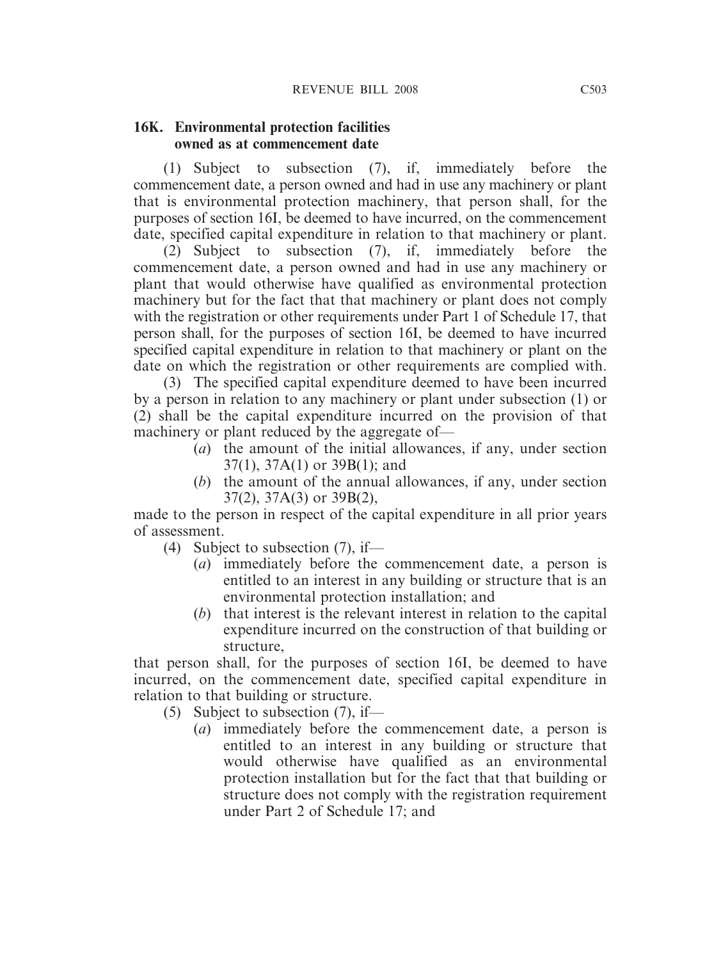#### **16K. Environmental protection facilities owned as at commencement date**

(1) Subject to subsection (7), if, immediately before the commencement date, a person owned and had in use any machinery or plant that is environmental protection machinery, that person shall, for the purposes of section 16I, be deemed to have incurred, on the commencement date, specified capital expenditure in relation to that machinery or plant.

(2) Subject to subsection (7), if, immediately before the commencement date, a person owned and had in use any machinery or plant that would otherwise have qualified as environmental protection machinery but for the fact that that machinery or plant does not comply with the registration or other requirements under Part 1 of Schedule 17, that person shall, for the purposes of section 16I, be deemed to have incurred specified capital expenditure in relation to that machinery or plant on the date on which the registration or other requirements are complied with.

(3) The specified capital expenditure deemed to have been incurred by a person in relation to any machinery or plant under subsection (1) or (2) shall be the capital expenditure incurred on the provision of that machinery or plant reduced by the aggregate of—

- (*a*) the amount of the initial allowances, if any, under section 37(1), 37A(1) or 39B(1); and
- (*b*) the amount of the annual allowances, if any, under section 37(2), 37A(3) or 39B(2),

made to the person in respect of the capital expenditure in all prior years of assessment.

- (4) Subject to subsection  $(7)$ , if—
	- (*a*) immediately before the commencement date, a person is entitled to an interest in any building or structure that is an environmental protection installation; and
	- (*b*) that interest is the relevant interest in relation to the capital expenditure incurred on the construction of that building or structure,

that person shall, for the purposes of section 16I, be deemed to have incurred, on the commencement date, specified capital expenditure in relation to that building or structure.

- (5) Subject to subsection (7), if—
	- (*a*) immediately before the commencement date, a person is entitled to an interest in any building or structure that would otherwise have qualified as an environmental protection installation but for the fact that that building or structure does not comply with the registration requirement under Part 2 of Schedule 17; and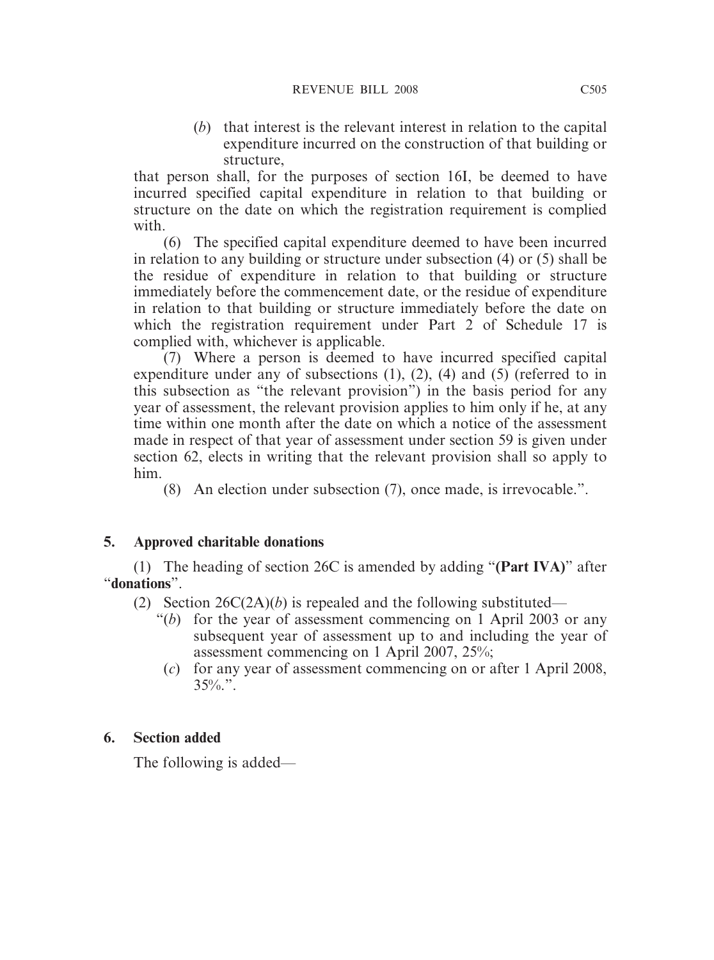(*b*) that interest is the relevant interest in relation to the capital expenditure incurred on the construction of that building or structure,

that person shall, for the purposes of section 16I, be deemed to have incurred specified capital expenditure in relation to that building or structure on the date on which the registration requirement is complied with.

(6) The specified capital expenditure deemed to have been incurred in relation to any building or structure under subsection (4) or (5) shall be the residue of expenditure in relation to that building or structure immediately before the commencement date, or the residue of expenditure in relation to that building or structure immediately before the date on which the registration requirement under Part 2 of Schedule 17 is complied with, whichever is applicable.

(7) Where a person is deemed to have incurred specified capital expenditure under any of subsections (1), (2), (4) and (5) (referred to in this subsection as "the relevant provision") in the basis period for any year of assessment, the relevant provision applies to him only if he, at any time within one month after the date on which a notice of the assessment made in respect of that year of assessment under section 59 is given under section 62, elects in writing that the relevant provision shall so apply to him.

(8) An election under subsection (7), once made, is irrevocable.".

## **5. Approved charitable donations**

(1) The heading of section 26C is amended by adding "**(Part IVA)**" after "**donations**".

(2) Section 26C(2A)(*b*) is repealed and the following substituted—

- "(*b*) for the year of assessment commencing on 1 April 2003 or any subsequent year of assessment up to and including the year of assessment commencing on 1 April 2007, 25%;
- (*c*) for any year of assessment commencing on or after 1 April 2008,  $35\%$ .".

## **6. Section added**

The following is added—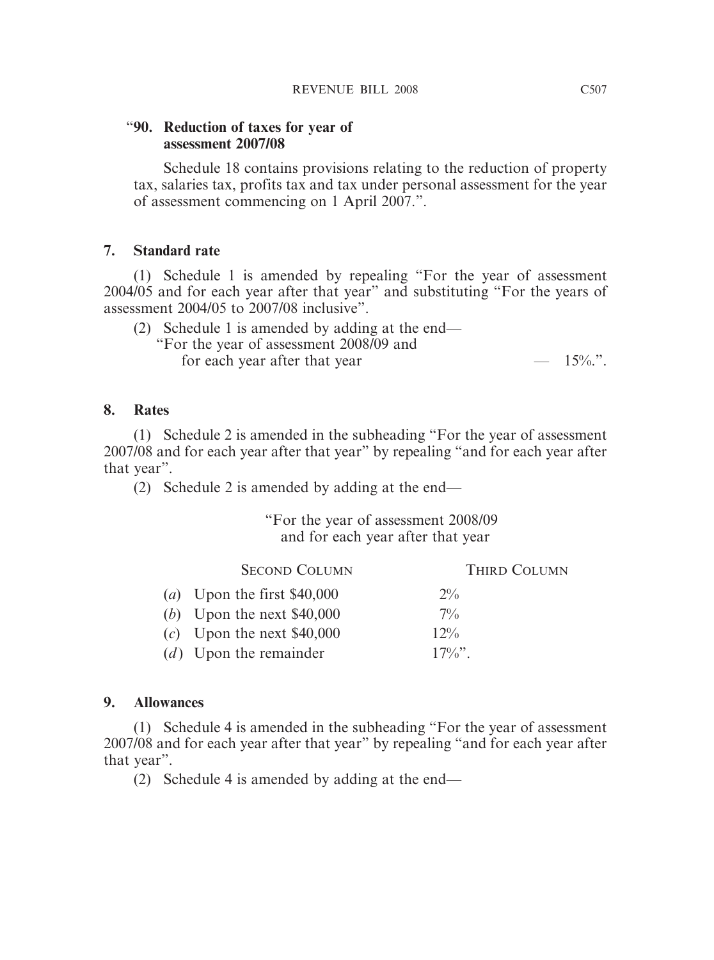#### "**90. Reduction of taxes for year of assessment 2007/08**

Schedule 18 contains provisions relating to the reduction of property tax, salaries tax, profits tax and tax under personal assessment for the year of assessment commencing on 1 April 2007.".

## **7. Standard rate**

(1) Schedule 1 is amended by repealing "For the year of assessment 2004/05 and for each year after that year" and substituting "For the years of assessment 2004/05 to 2007/08 inclusive".

| (2) Schedule 1 is amended by adding at the end— |           |
|-------------------------------------------------|-----------|
| "For the year of assessment 2008/09 and         |           |
| for each year after that year                   | $-15\%$ . |

#### **8. Rates**

(1) Schedule 2 is amended in the subheading "For the year of assessment 2007/08 and for each year after that year" by repealing "and for each year after that year".

(2) Schedule 2 is amended by adding at the end—

#### "For the year of assessment 2008/09 and for each year after that year

| <b>SECOND COLUMN</b>         | THIRD COLUMN |
|------------------------------|--------------|
| (a) Upon the first $$40,000$ | $2\%$        |
| (b) Upon the next $$40,000$  | $7\%$        |
| $(c)$ Upon the next \$40,000 | $12\%$       |
| $(d)$ Upon the remainder     | $17\%$       |
|                              |              |

#### **9. Allowances**

(1) Schedule 4 is amended in the subheading "For the year of assessment 2007/08 and for each year after that year" by repealing "and for each year after that year".

(2) Schedule 4 is amended by adding at the end—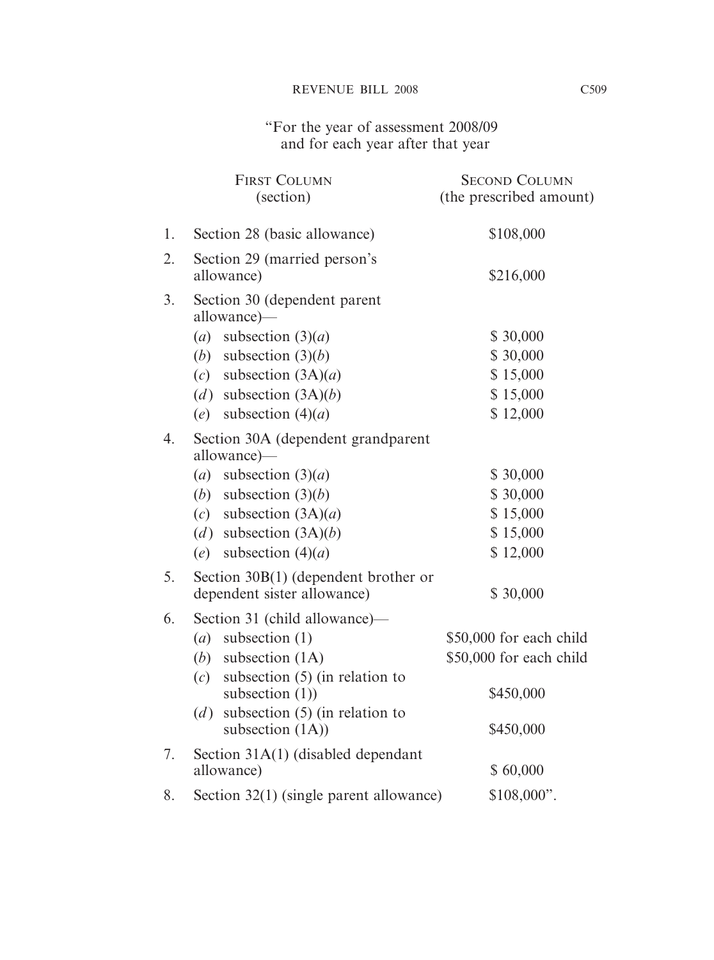"For the year of assessment 2008/09 and for each year after that year

|    | <b>FIRST COLUMN</b><br>(section)                               | <b>SECOND COLUMN</b><br>(the prescribed amount) |
|----|----------------------------------------------------------------|-------------------------------------------------|
| 1. | Section 28 (basic allowance)                                   | \$108,000                                       |
| 2. | Section 29 (married person's<br>allowance)                     | \$216,000                                       |
| 3. | Section 30 (dependent parent<br>allowance)—                    |                                                 |
|    | subsection $(3)(a)$<br>(a)                                     | \$30,000                                        |
|    | subsection $(3)(b)$<br>(b)                                     | \$30,000                                        |
|    | subsection $(3A)(a)$<br>(c)                                    | \$15,000                                        |
|    | (d) subsection $(3A)(b)$                                       | \$15,000                                        |
|    | subsection $(4)(a)$<br>(e)                                     | \$12,000                                        |
| 4. | Section 30A (dependent grandparent<br>allowance)—              |                                                 |
|    | subsection $(3)(a)$<br>(a)                                     | \$30,000                                        |
|    | (b)<br>subsection $(3)(b)$                                     | \$30,000                                        |
|    | (c) subsection $(3A)(a)$                                       | \$15,000                                        |
|    | (d) subsection $(3A)(b)$                                       | \$15,000                                        |
|    | subsection $(4)(a)$<br>(e)                                     | \$12,000                                        |
| 5. | Section $30B(1)$ (dependent brother or                         |                                                 |
|    | dependent sister allowance)                                    | \$30,000                                        |
| 6. | Section 31 (child allowance)-                                  |                                                 |
|    | subsection $(1)$<br>(a)                                        | \$50,000 for each child                         |
|    | (b)<br>subsection $(1A)$                                       | \$50,000 for each child                         |
|    | subsection $(5)$ (in relation to<br>(c)                        |                                                 |
|    | subsection $(1)$ )                                             | \$450,000                                       |
|    | subsection $(5)$ (in relation to<br>(d)<br>subsection $(1A)$ ) | \$450,000                                       |
| 7. | Section 31A(1) (disabled dependant<br>allowance)               | \$60,000                                        |
| 8. | Section 32(1) (single parent allowance)                        | $$108,000$ ".                                   |
|    |                                                                |                                                 |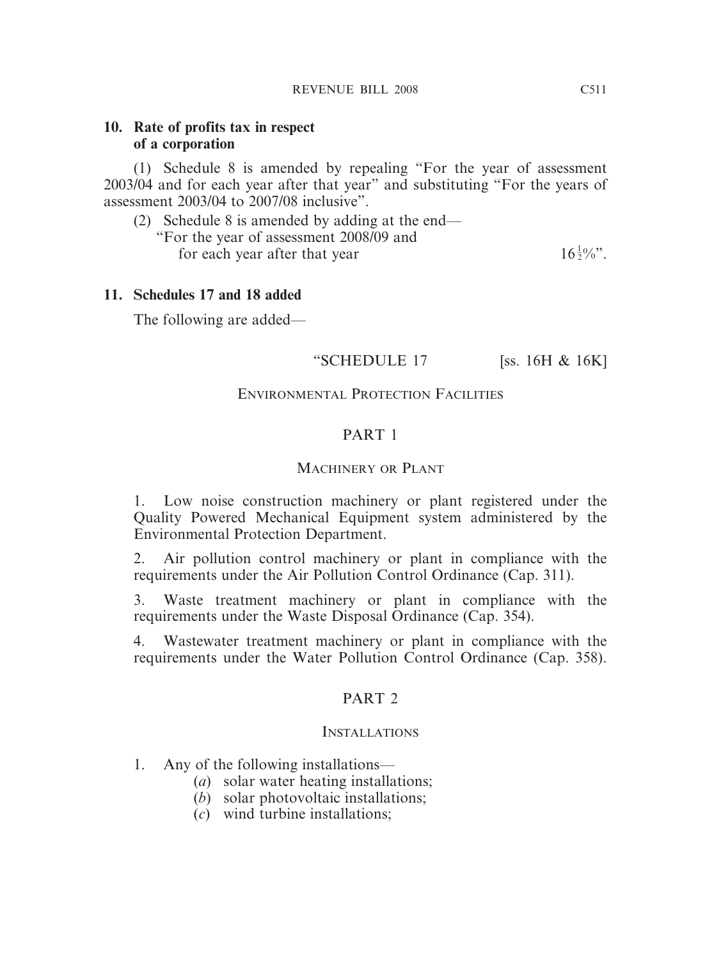#### **10. Rate of profits tax in respect of a corporation**

(1) Schedule 8 is amended by repealing "For the year of assessment 2003/04 and for each year after that year" and substituting "For the years of assessment 2003/04 to 2007/08 inclusive".

(2) Schedule 8 is amended by adding at the end— "For the year of assessment 2008/09 and

for each year after that year

 $16\frac{1}{2}\%$ ".

#### **11. Schedules 17 and 18 added**

The following are added—

#### "SCHEDULE 17 [ss. 16H & 16K]

#### ENVIRONMENTAL PROTECTION FACILITIES

## PART 1

#### MACHINERY OR PLANT

1. Low noise construction machinery or plant registered under the Quality Powered Mechanical Equipment system administered by the Environmental Protection Department.

2. Air pollution control machinery or plant in compliance with the requirements under the Air Pollution Control Ordinance (Cap. 311).

3. Waste treatment machinery or plant in compliance with the requirements under the Waste Disposal Ordinance (Cap. 354).

4. Wastewater treatment machinery or plant in compliance with the requirements under the Water Pollution Control Ordinance (Cap. 358).

#### PART 2

#### INSTALLATIONS

- 1. Any of the following installations—
	- (*a*) solar water heating installations;
	- (*b*) solar photovoltaic installations;
	- (*c*) wind turbine installations;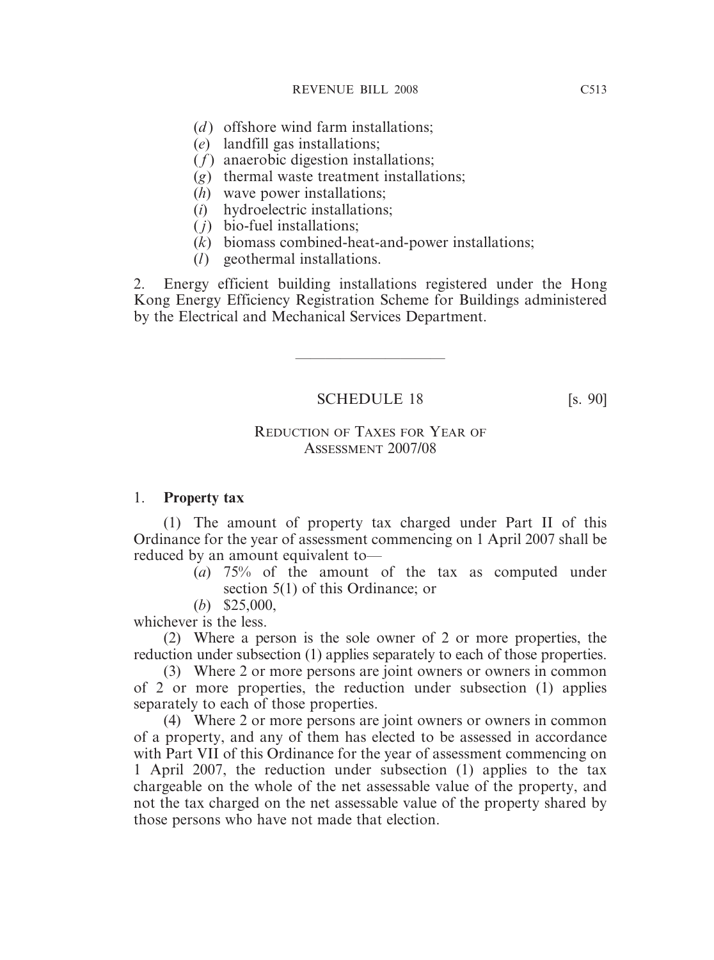- (*d*) offshore wind farm installations;
- (*e*) landfill gas installations;
- ( *f* ) anaerobic digestion installations;
- (*g*) thermal waste treatment installations;
- (*h*) wave power installations;
- (*i*) hydroelectric installations;
- ( *j*) bio-fuel installations;
- (*k*) biomass combined-heat-and-power installations;
- (*l*) geothermal installations.

2. Energy efficient building installations registered under the Hong Kong Energy Efficiency Registration Scheme for Buildings administered by the Electrical and Mechanical Services Department.

————————————————————

SCHEDULE 18 [s. 90]

## REDUCTION OF TAXES FOR YEAR OF ASSESSMENT 2007/08

## 1. **Property tax**

(1) The amount of property tax charged under Part II of this Ordinance for the year of assessment commencing on 1 April 2007 shall be reduced by an amount equivalent to—

(*a*) 75% of the amount of the tax as computed under section 5(1) of this Ordinance; or

(*b*) \$25,000,

whichever is the less.

(2) Where a person is the sole owner of 2 or more properties, the reduction under subsection (1) applies separately to each of those properties.

(3) Where 2 or more persons are joint owners or owners in common of 2 or more properties, the reduction under subsection (1) applies separately to each of those properties.

(4) Where 2 or more persons are joint owners or owners in common of a property, and any of them has elected to be assessed in accordance with Part VII of this Ordinance for the year of assessment commencing on 1 April 2007, the reduction under subsection (1) applies to the tax chargeable on the whole of the net assessable value of the property, and not the tax charged on the net assessable value of the property shared by those persons who have not made that election.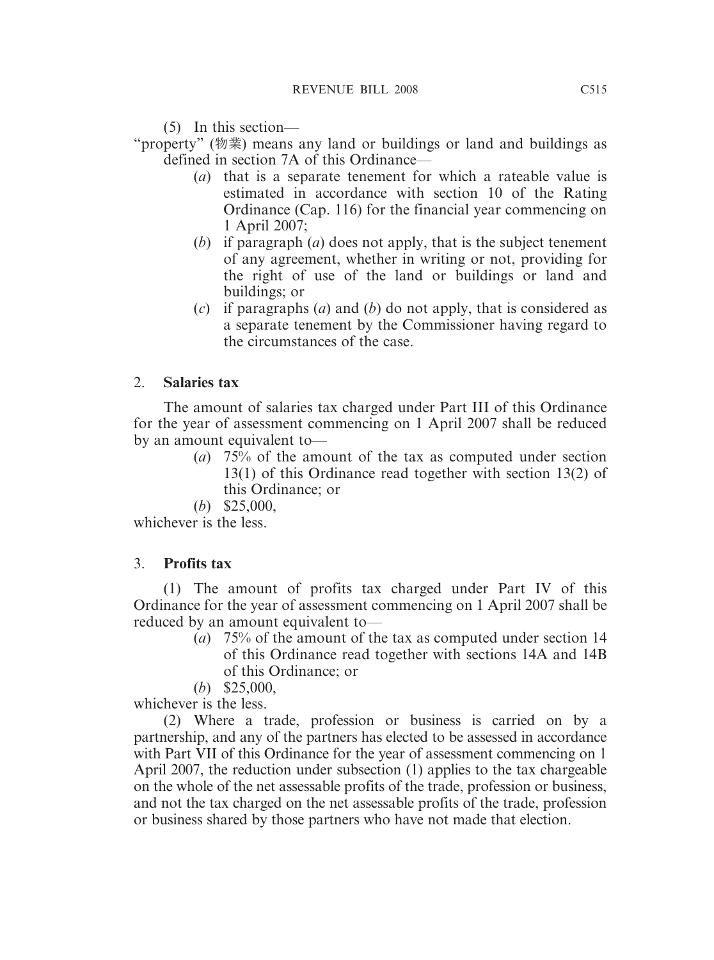(5) In this section—

"property" (物業) means any land or buildings or land and buildings as defined in section 7A of this Ordinance—

- (*a*) that is a separate tenement for which a rateable value is estimated in accordance with section 10 of the Rating Ordinance (Cap. 116) for the financial year commencing on 1 April 2007;
- (*b*) if paragraph (*a*) does not apply, that is the subject tenement of any agreement, whether in writing or not, providing for the right of use of the land or buildings or land and buildings; or
- (*c*) if paragraphs (*a*) and (*b*) do not apply, that is considered as a separate tenement by the Commissioner having regard to the circumstances of the case.

# 2. **Salaries tax**

The amount of salaries tax charged under Part III of this Ordinance for the year of assessment commencing on 1 April 2007 shall be reduced by an amount equivalent to—

- (*a*) 75% of the amount of the tax as computed under section 13(1) of this Ordinance read together with section 13(2) of this Ordinance; or
- (*b*) \$25,000,

whichever is the less.

# 3. **Profits tax**

(1) The amount of profits tax charged under Part IV of this Ordinance for the year of assessment commencing on 1 April 2007 shall be reduced by an amount equivalent to—

- (*a*) 75% of the amount of the tax as computed under section 14 of this Ordinance read together with sections 14A and 14B of this Ordinance; or
- (*b*) \$25,000,

whichever is the less.

(2) Where a trade, profession or business is carried on by a partnership, and any of the partners has elected to be assessed in accordance with Part VII of this Ordinance for the year of assessment commencing on 1 April 2007, the reduction under subsection (1) applies to the tax chargeable on the whole of the net assessable profits of the trade, profession or business, and not the tax charged on the net assessable profits of the trade, profession or business shared by those partners who have not made that election.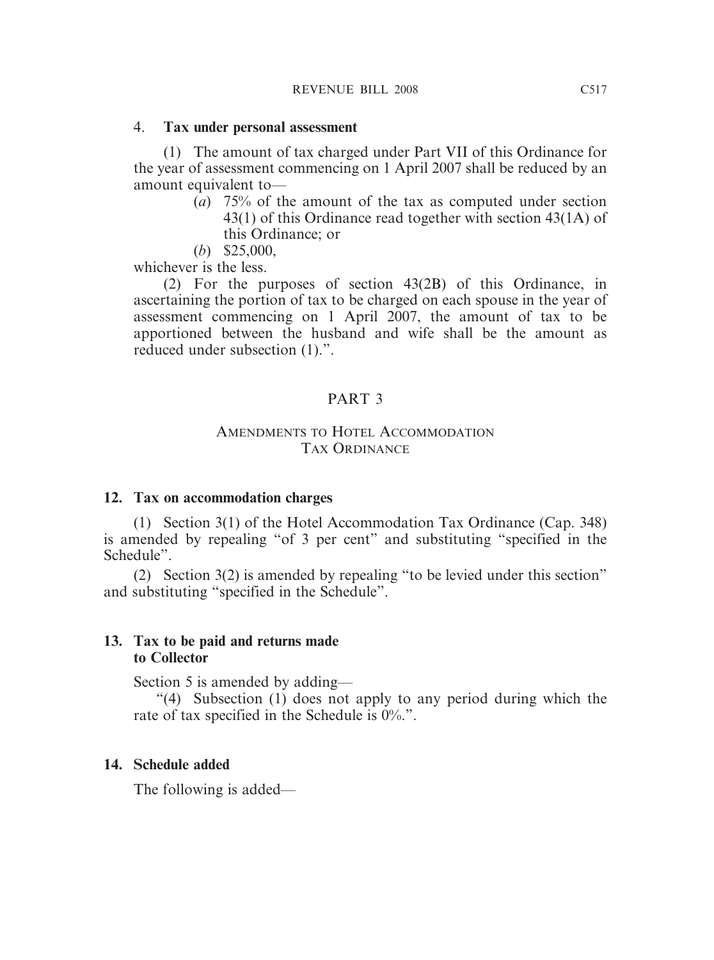#### 4. **Tax under personal assessment**

(1) The amount of tax charged under Part VII of this Ordinance for the year of assessment commencing on 1 April 2007 shall be reduced by an amount equivalent to—

- (*a*) 75% of the amount of the tax as computed under section 43(1) of this Ordinance read together with section 43(1A) of this Ordinance; or
- (*b*) \$25,000,

whichever is the less.

(2) For the purposes of section 43(2B) of this Ordinance, in ascertaining the portion of tax to be charged on each spouse in the year of assessment commencing on 1 April 2007, the amount of tax to be apportioned between the husband and wife shall be the amount as reduced under subsection (1).".

# PART 3

#### AMENDMENTS TO HOTEL ACCOMMODATION TAX ORDINANCE

## **12. Tax on accommodation charges**

(1) Section 3(1) of the Hotel Accommodation Tax Ordinance (Cap. 348) is amended by repealing "of 3 per cent" and substituting "specified in the Schedule".

(2) Section 3(2) is amended by repealing "to be levied under this section" and substituting "specified in the Schedule".

#### **13. Tax to be paid and returns made to Collector**

Section 5 is amended by adding—

"(4) Subsection (1) does not apply to any period during which the rate of tax specified in the Schedule is 0%.".

## **14. Schedule added**

The following is added—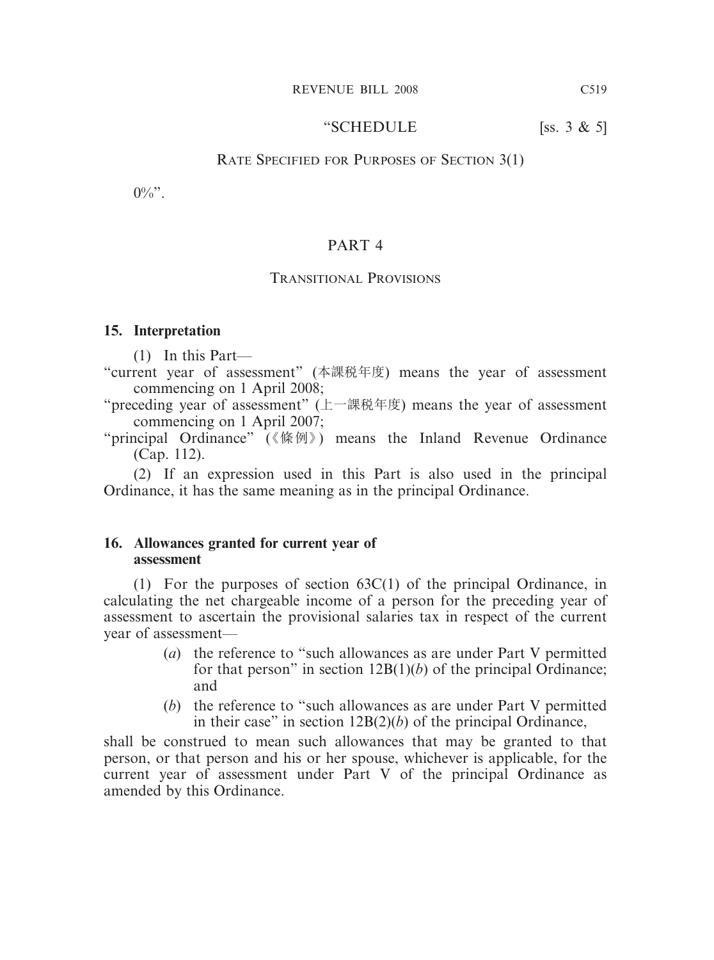#### "SCHEDULE  $[ss. 3 \& 5]$

#### RATE SPECIFIED FOR PURPOSES OF SECTION 3(1)

 $0\%$ ".

#### PART 4

#### TRANSITIONAL PROVISIONS

#### **15. Interpretation**

(1) In this Part—

- "current year of assessment" (本課稅年度) means the year of assessment commencing on 1 April 2008;
- "preceding year of assessment" (上一課稅年度) means the year of assessment commencing on 1 April 2007;
- "principal Ordinance" (《條例》) means the Inland Revenue Ordinance (Cap. 112).

(2) If an expression used in this Part is also used in the principal Ordinance, it has the same meaning as in the principal Ordinance.

#### **16. Allowances granted for current year of assessment**

(1) For the purposes of section 63C(1) of the principal Ordinance, in calculating the net chargeable income of a person for the preceding year of assessment to ascertain the provisional salaries tax in respect of the current year of assessment—

- (*a*) the reference to "such allowances as are under Part V permitted for that person" in section 12B(1)(*b*) of the principal Ordinance; and
- (*b*) the reference to "such allowances as are under Part V permitted in their case" in section 12B(2)(*b*) of the principal Ordinance,

shall be construed to mean such allowances that may be granted to that person, or that person and his or her spouse, whichever is applicable, for the current year of assessment under Part V of the principal Ordinance as amended by this Ordinance.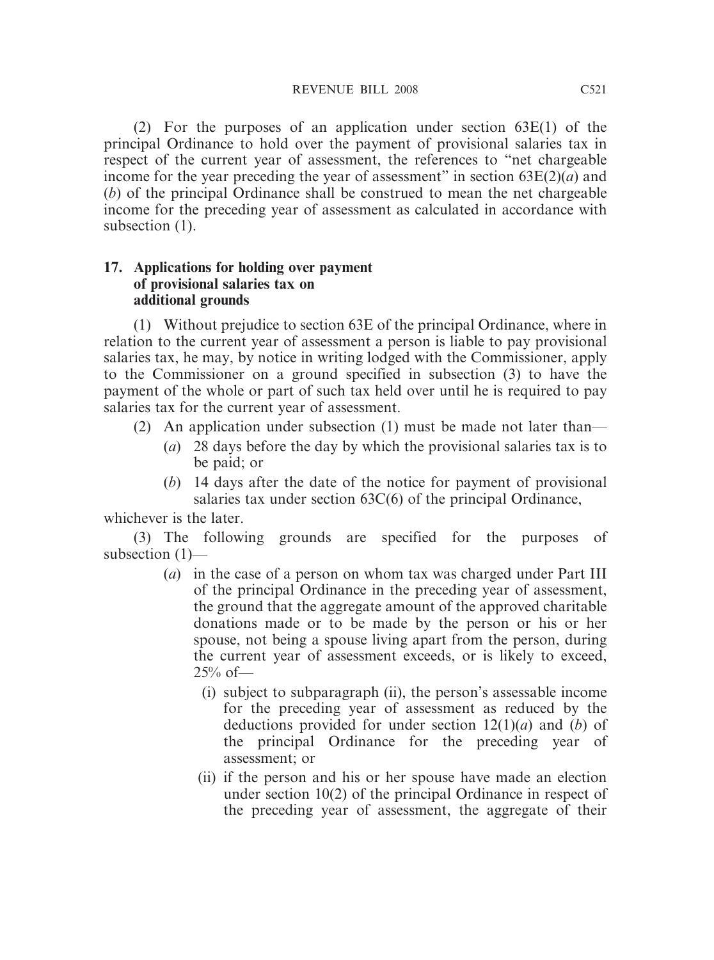(2) For the purposes of an application under section 63E(1) of the principal Ordinance to hold over the payment of provisional salaries tax in respect of the current year of assessment, the references to "net chargeable income for the year preceding the year of assessment" in section 63E(2)(*a*) and (*b*) of the principal Ordinance shall be construed to mean the net chargeable income for the preceding year of assessment as calculated in accordance with subsection  $(1)$ .

## **17. Applications for holding over payment of provisional salaries tax on additional grounds**

(1) Without prejudice to section 63E of the principal Ordinance, where in relation to the current year of assessment a person is liable to pay provisional salaries tax, he may, by notice in writing lodged with the Commissioner, apply to the Commissioner on a ground specified in subsection (3) to have the payment of the whole or part of such tax held over until he is required to pay salaries tax for the current year of assessment.

- (2) An application under subsection (1) must be made not later than—
	- (*a*) 28 days before the day by which the provisional salaries tax is to be paid; or
	- (*b*) 14 days after the date of the notice for payment of provisional salaries tax under section 63C(6) of the principal Ordinance,

whichever is the later.

(3) The following grounds are specified for the purposes of subsection (1)—

- (*a*) in the case of a person on whom tax was charged under Part III of the principal Ordinance in the preceding year of assessment, the ground that the aggregate amount of the approved charitable donations made or to be made by the person or his or her spouse, not being a spouse living apart from the person, during the current year of assessment exceeds, or is likely to exceed,  $25\%$  of —
	- (i) subject to subparagraph (ii), the person's assessable income for the preceding year of assessment as reduced by the deductions provided for under section 12(1)(*a*) and (*b*) of the principal Ordinance for the preceding year of assessment; or
	- (ii) if the person and his or her spouse have made an election under section 10(2) of the principal Ordinance in respect of the preceding year of assessment, the aggregate of their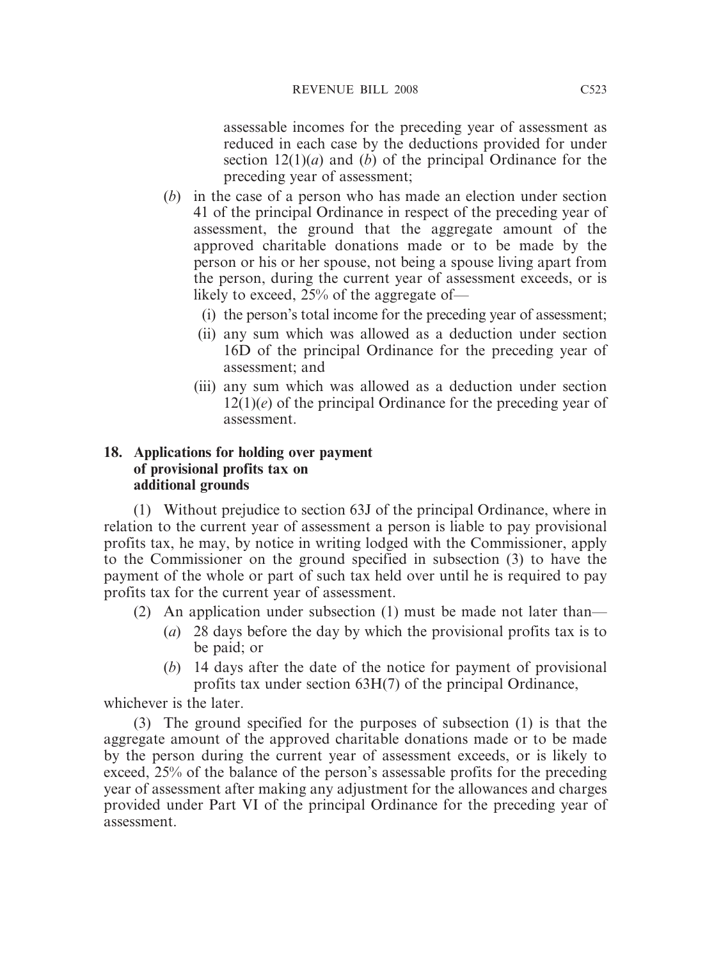assessable incomes for the preceding year of assessment as reduced in each case by the deductions provided for under section 12(1)(*a*) and (*b*) of the principal Ordinance for the preceding year of assessment;

- (*b*) in the case of a person who has made an election under section 41 of the principal Ordinance in respect of the preceding year of assessment, the ground that the aggregate amount of the approved charitable donations made or to be made by the person or his or her spouse, not being a spouse living apart from the person, during the current year of assessment exceeds, or is likely to exceed, 25% of the aggregate of—
	- (i) the person's total income for the preceding year of assessment;
	- (ii) any sum which was allowed as a deduction under section 16D of the principal Ordinance for the preceding year of assessment; and
	- (iii) any sum which was allowed as a deduction under section 12(1)(*e*) of the principal Ordinance for the preceding year of assessment.

## **18. Applications for holding over payment of provisional profits tax on additional grounds**

(1) Without prejudice to section 63J of the principal Ordinance, where in relation to the current year of assessment a person is liable to pay provisional profits tax, he may, by notice in writing lodged with the Commissioner, apply to the Commissioner on the ground specified in subsection (3) to have the payment of the whole or part of such tax held over until he is required to pay profits tax for the current year of assessment.

- (2) An application under subsection (1) must be made not later than—
	- (*a*) 28 days before the day by which the provisional profits tax is to be paid; or
	- (*b*) 14 days after the date of the notice for payment of provisional profits tax under section 63H(7) of the principal Ordinance,

whichever is the later.

(3) The ground specified for the purposes of subsection (1) is that the aggregate amount of the approved charitable donations made or to be made by the person during the current year of assessment exceeds, or is likely to exceed, 25% of the balance of the person's assessable profits for the preceding year of assessment after making any adjustment for the allowances and charges provided under Part VI of the principal Ordinance for the preceding year of assessment.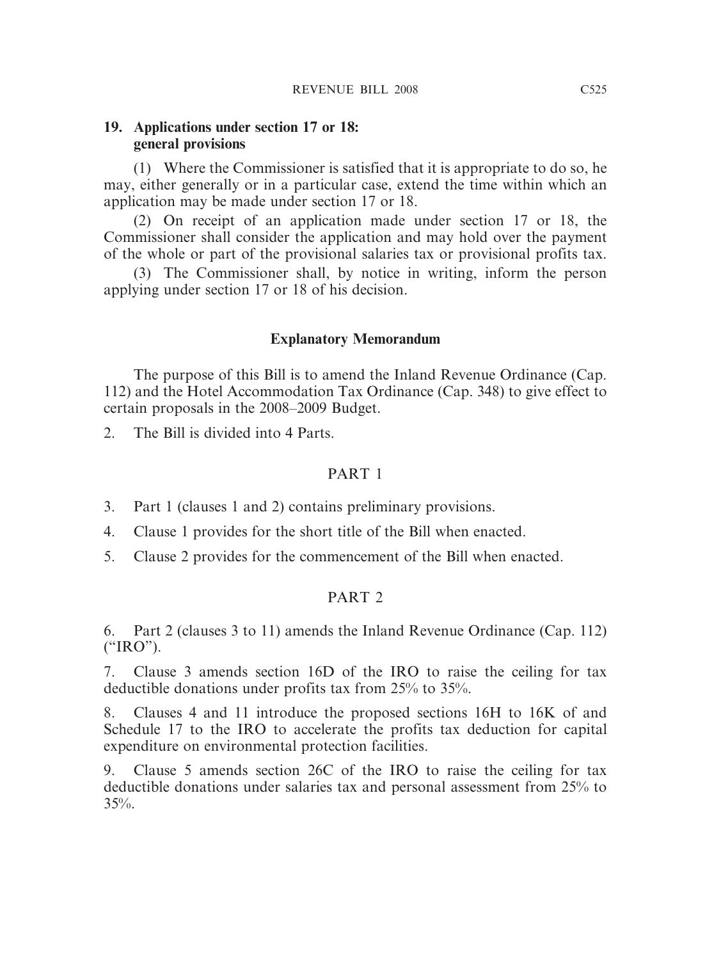#### **19. Applications under section 17 or 18: general provisions**

(1) Where the Commissioner is satisfied that it is appropriate to do so, he may, either generally or in a particular case, extend the time within which an application may be made under section 17 or 18.

(2) On receipt of an application made under section 17 or 18, the Commissioner shall consider the application and may hold over the payment of the whole or part of the provisional salaries tax or provisional profits tax.

(3) The Commissioner shall, by notice in writing, inform the person applying under section 17 or 18 of his decision.

#### **Explanatory Memorandum**

The purpose of this Bill is to amend the Inland Revenue Ordinance (Cap. 112) and the Hotel Accommodation Tax Ordinance (Cap. 348) to give effect to certain proposals in the 2008–2009 Budget.

2. The Bill is divided into 4 Parts.

## PART 1

- 3. Part 1 (clauses 1 and 2) contains preliminary provisions.
- 4. Clause 1 provides for the short title of the Bill when enacted.
- 5. Clause 2 provides for the commencement of the Bill when enacted.

# PART 2

6. Part 2 (clauses 3 to 11) amends the Inland Revenue Ordinance (Cap. 112) ("IRO").

7. Clause 3 amends section 16D of the IRO to raise the ceiling for tax deductible donations under profits tax from 25% to 35%.

8. Clauses 4 and 11 introduce the proposed sections 16H to 16K of and Schedule 17 to the IRO to accelerate the profits tax deduction for capital expenditure on environmental protection facilities.

9. Clause 5 amends section 26C of the IRO to raise the ceiling for tax deductible donations under salaries tax and personal assessment from 25% to  $35\%$ .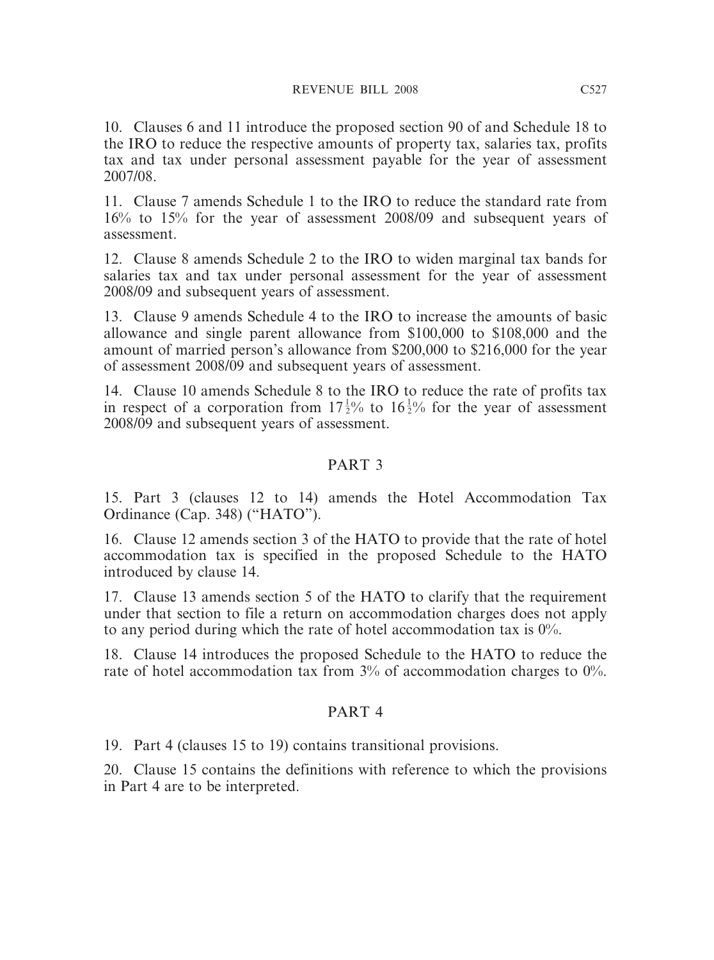10. Clauses 6 and 11 introduce the proposed section 90 of and Schedule 18 to the IRO to reduce the respective amounts of property tax, salaries tax, profits tax and tax under personal assessment payable for the year of assessment 2007/08.

11. Clause 7 amends Schedule 1 to the IRO to reduce the standard rate from 16% to 15% for the year of assessment 2008/09 and subsequent years of assessment.

12. Clause 8 amends Schedule 2 to the IRO to widen marginal tax bands for salaries tax and tax under personal assessment for the year of assessment 2008/09 and subsequent years of assessment.

13. Clause 9 amends Schedule 4 to the IRO to increase the amounts of basic allowance and single parent allowance from \$100,000 to \$108,000 and the amount of married person's allowance from \$200,000 to \$216,000 for the year of assessment 2008/09 and subsequent years of assessment.

14. Clause 10 amends Schedule 8 to the IRO to reduce the rate of profits tax in respect of a corporation from  $17\frac{1}{2}\%$  to  $16\frac{1}{2}\%$  for the year of assessment 2008/09 and subsequent years of assessment.

## PART 3

15. Part 3 (clauses 12 to 14) amends the Hotel Accommodation Tax Ordinance (Cap. 348) ("HATO").

16. Clause 12 amends section 3 of the HATO to provide that the rate of hotel accommodation tax is specified in the proposed Schedule to the HATO introduced by clause 14.

17. Clause 13 amends section 5 of the HATO to clarify that the requirement under that section to file a return on accommodation charges does not apply to any period during which the rate of hotel accommodation tax is  $0\%$ .

18. Clause 14 introduces the proposed Schedule to the HATO to reduce the rate of hotel accommodation tax from  $3\%$  of accommodation charges to  $0\%$ .

# PART 4

19. Part 4 (clauses 15 to 19) contains transitional provisions.

20. Clause 15 contains the definitions with reference to which the provisions in Part 4 are to be interpreted.